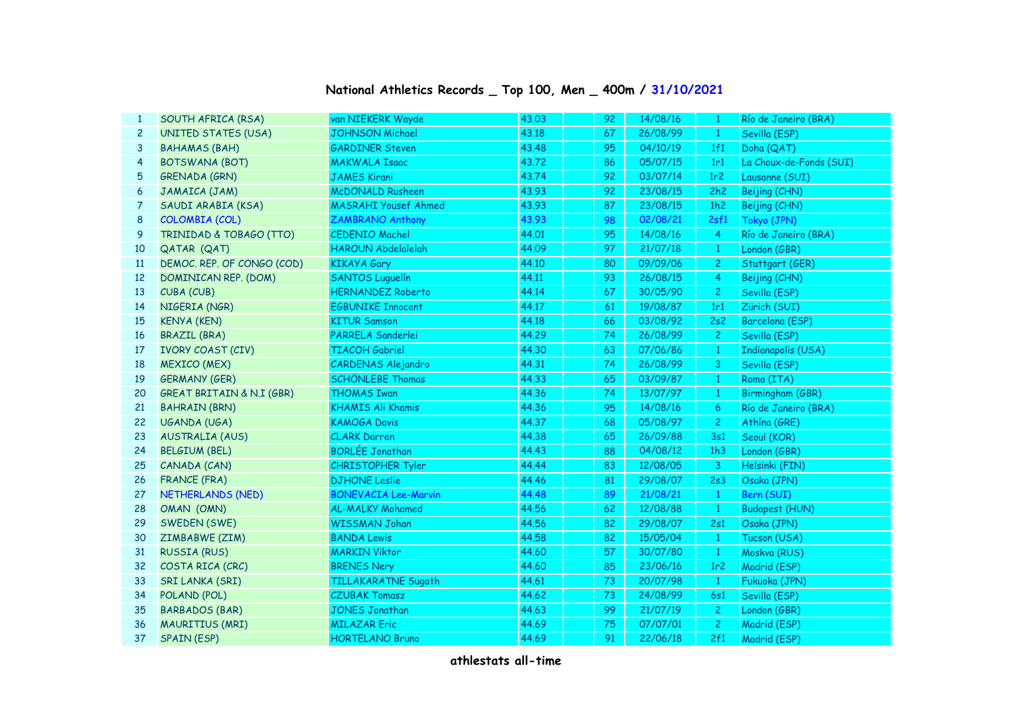| $\mathbf{1}$   | SOUTH AFRICA (RSA)                   | van NIEKERK Wayde           | 43.03 | 92 | 14/08/16 | $\mathbf{1}$    | Río de Janeiro (BRA)    |
|----------------|--------------------------------------|-----------------------------|-------|----|----------|-----------------|-------------------------|
| $\overline{c}$ | UNITED STATES (USA)                  | <b>JOHNSON Michael</b>      | 43.18 | 67 | 26/08/99 | $\mathbf{1}$    | Sevilla (ESP)           |
| 3              | <b>BAHAMAS (BAH)</b>                 | <b>GARDINER Steven</b>      | 43.48 | 95 | 04/10/19 | 1f1             | Doha (QAT)              |
| 4              | <b>BOTSWANA (BOT)</b>                | <b>MAKWALA Isaac</b>        | 43,72 | 86 | 05/07/15 | 1r1             | La Chaux-de-Fonds (SUI) |
| 5              | <b>GRENADA (GRN)</b>                 | <b>JAMES Kirani</b>         | 43.74 | 92 | 03/07/14 | 1r <sub>2</sub> | Lausanne (SUI)          |
| 6              | JAMAICA (JAM)                        | <b>McDONALD Rusheen</b>     | 43.93 | 92 | 23/08/15 | 2h2             | Beijing (CHN)           |
| 7              | SAUDI ARABIA (KSA)                   | <b>MASRAHI Yousef Ahmed</b> | 43.93 | 87 | 23/08/15 | 1h2             | Beijing (CHN)           |
| 8              | COLOMBIA (COL)                       | <b>ZAMBRANO Anthony</b>     | 43.93 | 98 | 02/08/21 | 2sf1            | Tokyo (JPN)             |
| 9              | TRINIDAD & TOBAGO (TTO)              | <b>CEDENIO Machel</b>       | 44.01 | 95 | 14/08/16 | $\overline{4}$  | Río de Janeiro (BRA)    |
| 10             | QATAR (QAT)                          | <b>HAROUN Abdelalelah</b>   | 44.09 | 97 | 21/07/18 | $\mathbf{1}$    | London (GBR)            |
| <b>11</b>      | DEMOC. REP. OF CONGO (COD)           | <b>KIKAYA Gary</b>          | 44.10 | 80 | 09/09/06 | $\overline{c}$  | Stuttgart (GER)         |
| 12             | DOMINICAN REP. (DOM)                 | <b>SANTOS Luquelín</b>      | 44.11 | 93 | 26/08/15 | 4               | Beijing (CHN)           |
| 13             | CUBA (CUB)                           | <b>HERNANDEZ Roberto</b>    | 44.14 | 67 | 30/05/90 | $\overline{c}$  | Sevilla (ESP)           |
| 14             | NIGERIA (NGR)                        | <b>EGBUNIKE Innocent</b>    | 44.17 | 61 | 19/08/87 | 1r1             | Zürich (SUI)            |
| 15             | <b>KENYA (KEN)</b>                   | <b>KITUR Samson</b>         | 44.18 | 66 | 03/08/92 | 2s2             | Barcelona (ESP)         |
| 16             | <b>BRAZIL (BRA)</b>                  | PARRELA Sanderlei           | 44.29 | 74 | 26/08/99 | $\overline{c}$  | Sevilla (ESP)           |
| 17             | <b>IVORY COAST (CIV)</b>             | <b>TIACOH Gabriel</b>       | 44.30 | 63 | 07/06/86 | $\mathbf{1}$    | Indianapolis (USA)      |
| 18             | <b>MEXICO (MEX)</b>                  | <b>CARDENAS Alejandro</b>   | 44.31 | 74 | 26/08/99 | 3               | Sevilla (ESP)           |
| 19             | <b>GERMANY (GER)</b>                 | <b>SCHÖNLEBE Thomas</b>     | 44.33 | 65 | 03/09/87 | $\mathbf{1}$    | Roma (ITA)              |
| 20             | <b>GREAT BRITAIN &amp; N.I (GBR)</b> | <b>THOMAS Iwan</b>          | 44.36 | 74 | 13/07/97 | $\mathbf{1}$    | Birmingham (GBR)        |
| 21             | <b>BAHRAIN (BRN)</b>                 | <b>KHAMIS Ali Khamis</b>    | 44.36 | 95 | 14/08/16 | 6               | Río de Janeiro (BRA)    |
| 22             | UGANDA (UGA)                         | <b>KAMOGA Davis</b>         | 44.37 | 68 | 05/08/97 | 2 <sup>1</sup>  | Athína (GRE)            |
| 23             | <b>AUSTRALIA (AUS)</b>               | <b>CLARK Darren</b>         | 44.38 | 65 | 26/09/88 | 3s1             | Seoul (KOR)             |
| 24             | <b>BELGIUM (BEL)</b>                 | <b>BORLÉE Jonathan</b>      | 44.43 | 88 | 04/08/12 | 1h3             | London (GBR)            |
| 25             | CANADA (CAN)                         | <b>CHRISTOPHER Tyler</b>    | 44.44 | 83 | 12/08/05 | 3               | Helsinki (FIN)          |
| 26             | <b>FRANCE (FRA)</b>                  | <b>DJHONE Leslie</b>        | 44.46 | 81 | 29/08/07 | 2s3             | Osaka (JPN)             |
| 27             | NETHERLANDS (NED)                    | <b>BONEVACIA Lee-Marvin</b> | 44.48 | 89 | 21/08/21 | $\mathbf{1}$    | Bern (SUI)              |
| 28             | OMAN (OMN)                           | <b>AL-MALKY Mohamed</b>     | 44.56 | 62 | 12/08/88 | $\mathbf{1}$    | <b>Budapest (HUN)</b>   |
| 29             | SWEDEN (SWE)                         | <b>WISSMAN Johan</b>        | 44.56 | 82 | 29/08/07 | 2s1             | Osaka (JPN)             |
| 30             | ZIMBABWE (ZIM)                       | <b>BANDA Lewis</b>          | 44.58 | 82 | 15/05/04 | $\mathbf{1}$    | Tucson (USA)            |
| 31             | <b>RUSSIA (RUS)</b>                  | <b>MARKIN Viktor</b>        | 44.60 | 57 | 30/07/80 | $\mathbf{1}$    | Moskva (RUS)            |
| 32             | COSTA RICA (CRC)                     | <b>BRENES Nery</b>          | 44.60 | 85 | 23/06/16 | 1r <sub>2</sub> | Madrid (ESP)            |
| 33             | <b>SRI LANKA (SRI)</b>               | <b>TILLAKARATNE Sugath</b>  | 44.61 | 73 | 20/07/98 | $\mathbf{1}$    | Fukuoka (JPN)           |
| 34             | POLAND (POL)                         | <b>CZUBAK Tomasz</b>        | 44.62 | 73 | 24/08/99 | 6s1             | Sevilla (ESP)           |
| 35             | <b>BARBADOS (BAR)</b>                | <b>JONES Jonathan</b>       | 44.63 | 99 | 21/07/19 | $\mathbf{2}$    | London (GBR)            |
| 36             | <b>MAURITIUS (MRI)</b>               | <b>MILAZAR Eric</b>         | 44.69 | 75 | 07/07/01 | $\mathbf{2}$    | Madrid (ESP)            |
| 37             | <b>SPAIN (ESP)</b>                   | <b>HORTELANO Bruno</b>      | 44.69 | 91 | 22/06/18 | 2f1             | Madrid (ESP)            |

## **National Athletics Records \_ Top 100, Men \_ 400m / 31/10/2021**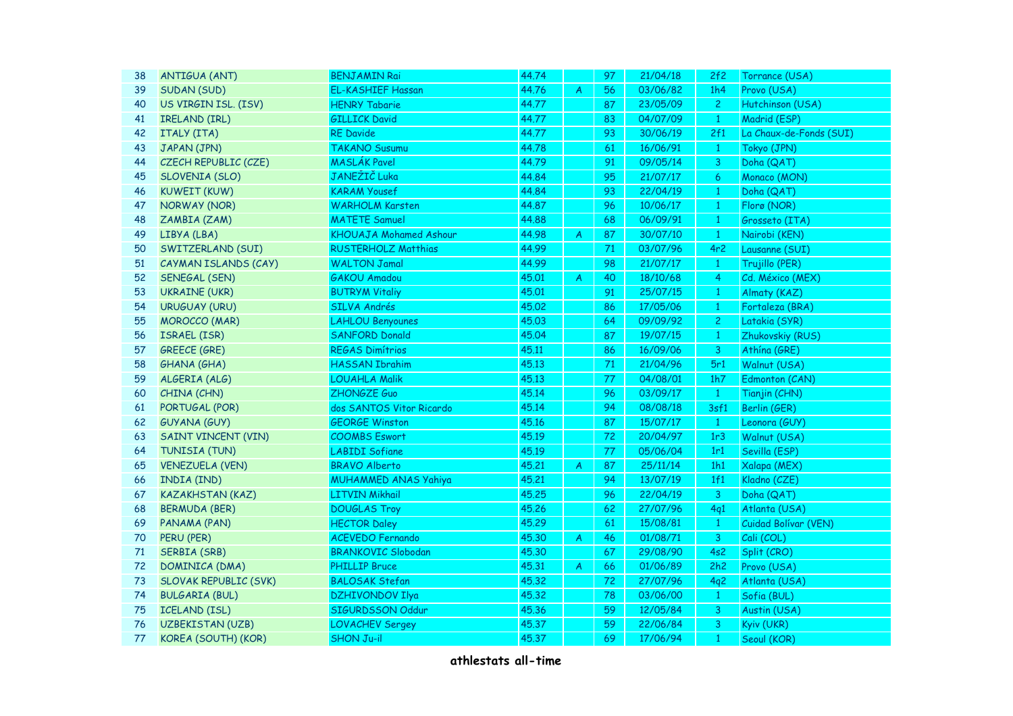| 38 | <b>ANTIGUA (ANT)</b>         | <b>BENJAMIN Rai</b>           | 44.74 |                | 97 | 21/04/18 | 2f2            | Torrance (USA)          |
|----|------------------------------|-------------------------------|-------|----------------|----|----------|----------------|-------------------------|
| 39 | SUDAN (SUD)                  | <b>EL-KASHIEF Hassan</b>      | 44.76 | A              | 56 | 03/06/82 | 1h4            | Provo (USA)             |
| 40 | US VIRGIN ISL. (ISV)         | <b>HENRY Tabarie</b>          | 44.77 |                | 87 | 23/05/09 | $\overline{2}$ | Hutchinson (USA)        |
| 41 | IRELAND (IRL)                | <b>GILLICK David</b>          | 44.77 |                | 83 | 04/07/09 | $\mathbf{1}$   | Madrid (ESP)            |
| 42 | ITALY (ITA)                  | <b>RE</b> Davide              | 44.77 |                | 93 | 30/06/19 | 2f1            | La Chaux-de-Fonds (SUI) |
| 43 | JAPAN (JPN)                  | <b>TAKANO Susumu</b>          | 44.78 |                | 61 | 16/06/91 | $\mathbf{1}$   | Tokyo (JPN)             |
| 44 | CZECH REPUBLIC (CZE)         | <b>MASLÁK Pavel</b>           | 44.79 |                | 91 | 09/05/14 | 3              | Doha (QAT)              |
| 45 | SLOVENIA (SLO)               | JANEŽIČ Luka                  | 44.84 |                | 95 | 21/07/17 | 6              | Monaco (MON)            |
| 46 | <b>KUWEIT (KUW)</b>          | <b>KARAM Yousef</b>           | 44.84 |                | 93 | 22/04/19 | $\mathbf{1}$   | Doha (QAT)              |
| 47 | <b>NORWAY (NOR)</b>          | <b>WARHOLM Karsten</b>        | 44.87 |                | 96 | 10/06/17 | $\mathbf{1}$   | Florø (NOR)             |
| 48 | ZAMBIA (ZAM)                 | <b>MATETE Samuel</b>          | 44.88 |                | 68 | 06/09/91 | $\mathbf{1}$   | Grosseto (ITA)          |
| 49 | LIBYA (LBA)                  | <b>KHOUAJA Mohamed Ashour</b> | 44.98 | $\overline{A}$ | 87 | 30/07/10 | $\mathbf{1}$   | Nairobi (KEN)           |
| 50 | SWITZERLAND (SUI)            | <b>RUSTERHOLZ Matthias</b>    | 44.99 |                | 71 | 03/07/96 | 4r2            | Lausanne (SUI)          |
| 51 | CAYMAN ISLANDS (CAY)         | <b>WALTON Jamal</b>           | 44.99 |                | 98 | 21/07/17 | $\mathbf{1}$   | Trujillo (PER)          |
| 52 | SENEGAL (SEN)                | <b>GAKOU Amadou</b>           | 45.01 | A              | 40 | 18/10/68 | $\overline{4}$ | Cd. México (MEX)        |
| 53 | <b>UKRAINE (UKR)</b>         | <b>BUTRYM Vitaliy</b>         | 45.01 |                | 91 | 25/07/15 | $\mathbf{1}$   | Almaty (KAZ)            |
| 54 | <b>URUGUAY (URU)</b>         | <b>SILVA Andrés</b>           | 45.02 |                | 86 | 17/05/06 | $\mathbf{1}$   | Fortaleza (BRA)         |
| 55 | <b>MOROCCO (MAR)</b>         | <b>LAHLOU Benyounes</b>       | 45.03 |                | 64 | 09/09/92 | $\overline{2}$ | Latakia (SYR)           |
| 56 | ISRAEL (ISR)                 | <b>SANFORD Donald</b>         | 45.04 |                | 87 | 19/07/15 | $\mathbf{1}$   | Zhukovskiy (RUS)        |
| 57 | <b>GREECE (GRE)</b>          | <b>REGAS Dimítrios</b>        | 45.11 |                | 86 | 16/09/06 | 3              | Athína (GRE)            |
| 58 | <b>GHANA (GHA)</b>           | <b>HASSAN Ibrahim</b>         | 45.13 |                | 71 | 21/04/96 | 5r1            | Walnut (USA)            |
| 59 | ALGERIA (ALG)                | <b>LOUAHLA Malik</b>          | 45.13 |                | 77 | 04/08/01 | 1h7            | Edmonton (CAN)          |
| 60 | CHINA (CHN)                  | ZHONGZE Guo                   | 45.14 |                | 96 | 03/09/17 | $\mathbf{1}$   | Tianjin (CHN)           |
| 61 | PORTUGAL (POR)               | dos SANTOS Vitor Ricardo      | 45.14 |                | 94 | 08/08/18 | 3sf1           | Berlin (GER)            |
| 62 | <b>GUYANA (GUY)</b>          | <b>GEORGE Winston</b>         | 45.16 |                | 87 | 15/07/17 | $\overline{1}$ | Leonora (GUY)           |
| 63 | <b>SAINT VINCENT (VIN)</b>   | <b>COOMBS Eswort</b>          | 45.19 |                | 72 | 20/04/97 | 1r3            | Walnut (USA)            |
| 64 | TUNISIA (TUN)                | <b>LABIDI Sofiane</b>         | 45.19 |                | 77 | 05/06/04 | 1r1            | Sevilla (ESP)           |
| 65 | <b>VENEZUELA (VEN)</b>       | <b>BRAVO Alberto</b>          | 45.21 | A              | 87 | 25/11/14 | 1h1            | Xalapa (MEX)            |
| 66 | INDIA (IND)                  | <b>MUHAMMED ANAS Yahiya</b>   | 45.21 |                | 94 | 13/07/19 | 1f1            | Kladno (CZE)            |
| 67 | <b>KAZAKHSTAN (KAZ)</b>      | <b>LITVIN Mikhail</b>         | 45.25 |                | 96 | 22/04/19 | $\mathbf{3}$   | Doha (QAT)              |
| 68 | <b>BERMUDA (BER)</b>         | <b>DOUGLAS Troy</b>           | 45.26 |                | 62 | 27/07/96 | 4q1            | Atlanta (USA)           |
| 69 | PANAMA (PAN)                 | <b>HECTOR Daley</b>           | 45.29 |                | 61 | 15/08/81 | $\mathbf{1}$   | Cuidad Bolívar (VEN)    |
| 70 | PERU (PER)                   | <b>ACEVEDO Fernando</b>       | 45.30 | $\mathcal{A}$  | 46 | 01/08/71 | 3 <sup>7</sup> | Cali (COL)              |
| 71 | <b>SERBIA (SRB)</b>          | <b>BRANKOVIC Slobodan</b>     | 45.30 |                | 67 | 29/08/90 | 4s2            | Split (CRO)             |
| 72 | DOMINICA (DMA)               | <b>PHILLIP Bruce</b>          | 45.31 | $\overline{A}$ | 66 | 01/06/89 | 2h2            | Provo (USA)             |
| 73 | <b>SLOVAK REPUBLIC (SVK)</b> | <b>BALOSAK Stefan</b>         | 45.32 |                | 72 | 27/07/96 | 4q2            | Atlanta (USA)           |
| 74 | <b>BULGARIA (BUL)</b>        | DZHIVONDOV Ilya               | 45.32 |                | 78 | 03/06/00 | $\vert$ 1      | Sofia (BUL)             |
| 75 | <b>ICELAND (ISL)</b>         | SIGURDSSON Oddur              | 45.36 |                | 59 | 12/05/84 | $\mathbf{3}$   | Austin (USA)            |
| 76 | UZBEKISTAN (UZB)             | <b>LOVACHEV Sergey</b>        | 45.37 |                | 59 | 22/06/84 | $\overline{3}$ | Kyiv (UKR)              |
| 77 | KOREA (SOUTH) (KOR)          | <b>SHON Ju-il</b>             | 45.37 |                | 69 | 17/06/94 | $\mathbf{1}$   | Seoul (KOR)             |